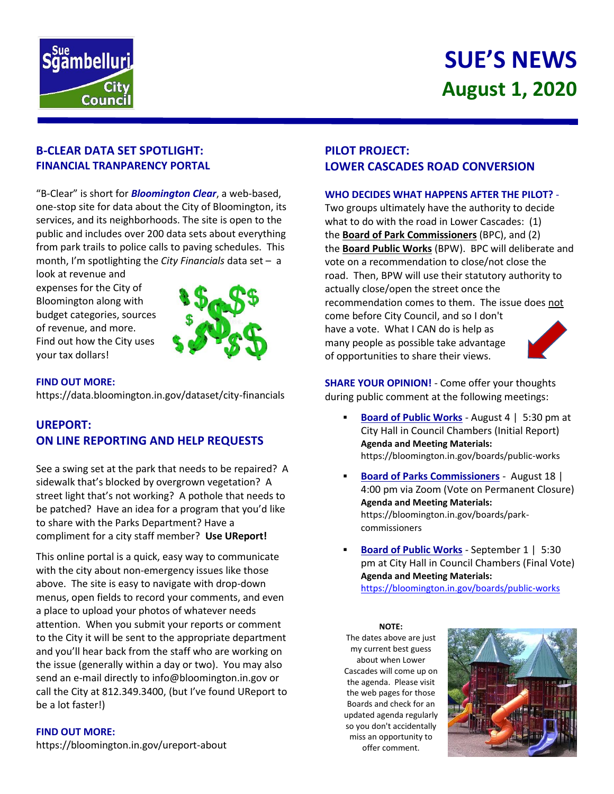

# **SUE'S NEWS August 1, 2020**

# **B-CLEAR DATA SET SPOTLIGHT: FINANCIAL TRANPARENCY PORTAL**

"B-Clear" is short for *Bloomington Clear*, a web-based, one-stop site for data about the City of Bloomington, its services, and its neighborhoods. The site is open to the public and includes over 200 data sets about everything from park trails to police calls to paving schedules. This month, I'm spotlighting the *City Financials* data set – a

look at revenue and expenses for the City of Bloomington along with budget categories, sources of revenue, and more. Find out how the City uses your tax dollars!



#### **FIND OUT MORE:**

<https://data.bloomington.in.gov/dataset/city-financials>

# **UREPORT: ON LINE REPORTING AND HELP REQUESTS**

See a swing set at the park that needs to be repaired? A sidewalk that's blocked by overgrown vegetation? A street light that's not working? A pothole that needs to be patched? Have an idea for a program that you'd like to share with the Parks Department? Have a compliment for a city staff member? **Use UReport!**

This online portal is a quick, easy way to communicate with the city about non-emergency issues like those above. The site is easy to navigate with drop-down menus, open fields to record your comments, and even a place to upload your photos of whatever needs attention. When you submit your reports or comment to the City it will be sent to the appropriate department and you'll hear back from the staff who are working on the issue (generally within a day or two). You may also send an e-mail directly to info@bloomington.in.gov or call the City at 812.349.3400, (but I've found UReport to be a lot faster!)

#### **FIND OUT MORE:**

<https://bloomington.in.gov/ureport-about>

# **PILOT PROJECT: LOWER CASCADES ROAD CONVERSION**

#### **WHO DECIDES WHAT HAPPENS AFTER THE PILOT?** -

Two groups ultimately have the authority to decide what to do with the road in Lower Cascades: (1) the **[Board of Park Commissioners](https://bloomington.in.gov/boards/park-commissioners)** (BPC), and (2) the **[Board Public Works](https://bloomington.in.gov/boards/public-works)** (BPW). BPC will deliberate and vote on a recommendation to close/not close the road. Then, BPW will use their statutory authority to actually close/open the street once the recommendation comes to them. The issue does not come before City Council, and so I don't have a vote. What I CAN do is help as many people as possible take advantage of opportunities to share their views.

**SHARE YOUR OPINION!** - Come offer your thoughts during public comment at the following meetings:

- **Board of Public Works** August 4 | 5:30 pm at City Hall in Council Chambers (Initial Report) **Agenda and Meeting Materials:** https://bloomington.in.gov/boards/public-works
- **Board of Parks Commissioners** August 18 | 4:00 pm via Zoom (Vote on Permanent Closure) **Agenda and Meeting Materials:** https://bloomington.in.gov/boards/parkcommissioners
- **Board of Public Works** September 1 | 5:30 pm at City Hall in Council Chambers (Final Vote) **Agenda and Meeting Materials:** <https://bloomington.in.gov/boards/public-works>

**NOTE:** The dates above are just my current best guess about when Lower Cascades will come up on the agenda. Please visit the web pages for those Boards and check for an updated agenda regularly so you don't accidentally miss an opportunity to offer comment.